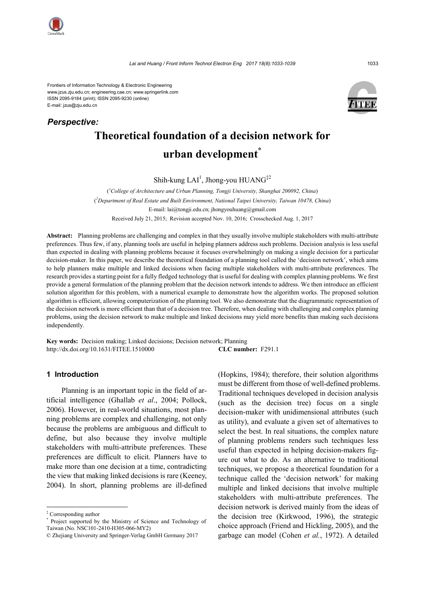

*Perspective:*

Frontiers of Information Technology & Electronic Engineering www.jzus.zju.edu.cn; engineering.cae.cn; www.springerlink.com ISSN 2095-9184 (print); ISSN 2095-9230 (online) E-mail: jzus@zju.edu.cn



# **Theoretical foundation of a decision network for urban development\***

Shih-kung LAI<sup>1</sup>, Jhong-you HUANG<sup>‡2</sup>

( *1 College of Architecture and Urban Planning, Tongji University, Shanghai 200092, China*) ( *2 Department of Real Estate and Built Environment, National Taipei University, Taiwan 10478, China*) E-mail: lai@tongji.edu.cn; jhongyouhuang@gmail.com Received July 21, 2015; Revision accepted Nov. 10, 2016; Crosschecked Aug. 1, 2017

**Abstract:** Planning problems are challenging and complex in that they usually involve multiple stakeholders with multi-attribute preferences. Thus few, if any, planning tools are useful in helping planners address such problems. Decision analysis is less useful than expected in dealing with planning problems because it focuses overwhelmingly on making a single decision for a particular decision-maker. In this paper, we describe the theoretical foundation of a planning tool called the 'decision network', which aims to help planners make multiple and linked decisions when facing multiple stakeholders with multi-attribute preferences. The research provides a starting point for a fully fledged technology that is useful for dealing with complex planning problems. We first provide a general formulation of the planning problem that the decision network intends to address. We then introduce an efficient solution algorithm for this problem, with a numerical example to demonstrate how the algorithm works. The proposed solution algorithm is efficient, allowing computerization of the planning tool. We also demonstrate that the diagrammatic representation of the decision network is more efficient than that of a decision tree. Therefore, when dealing with challenging and complex planning problems, using the decision network to make multiple and linked decisions may yield more benefits than making such decisions independently.

**Key words:** Decision making; Linked decisions; Decision network; Planning http://dx.doi.org/10.1631/FITEE.1510000 **CLC number:** F291.1

### **1 Introduction**

Planning is an important topic in the field of artificial intelligence (Ghallab *et al*., 2004; Pollock, 2006). However, in real-world situations, most planning problems are complex and challenging, not only because the problems are ambiguous and difficult to define, but also because they involve multiple stakeholders with multi-attribute preferences. These preferences are difficult to elicit. Planners have to make more than one decision at a time, contradicting the view that making linked decisions is rare (Keeney, 2004). In short, planning problems are ill-defined

(Hopkins, 1984); therefore, their solution algorithms must be different from those of well-defined problems. Traditional techniques developed in decision analysis (such as the decision tree) focus on a single decision-maker with unidimensional attributes (such as utility), and evaluate a given set of alternatives to select the best. In real situations, the complex nature of planning problems renders such techniques less useful than expected in helping decision-makers figure out what to do. As an alternative to traditional techniques, we propose a theoretical foundation for a technique called the 'decision network' for making multiple and linked decisions that involve multiple stakeholders with multi-attribute preferences. The decision network is derived mainly from the ideas of the decision tree (Kirkwood, 1996), the strategic choice approach (Friend and Hickling, 2005), and the garbage can model (Cohen *et al.*, 1972). A detailed

<sup>‡</sup> Corresponding author

Project supported by the Ministry of Science and Technology of Taiwan (No. NSC101-2410-H305-066-MY2)

<sup>©</sup> Zhejiang University and Springer-Verlag GmbH Germany 2017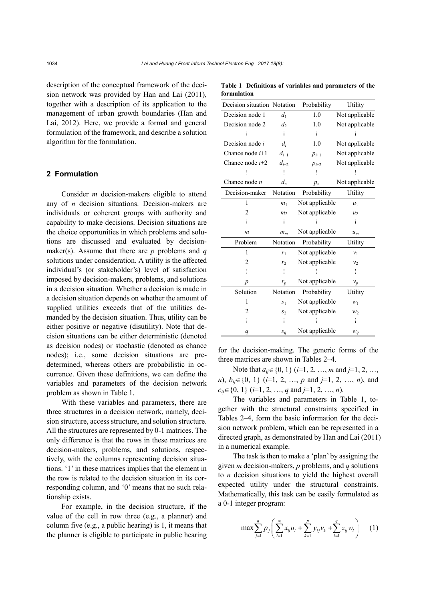description of the conceptual framework of the decision network was provided by Han and Lai (2011), together with a description of its application to the management of urban growth boundaries (Han and Lai, 2012). Here, we provide a formal and general formulation of the framework, and describe a solution algorithm for the formulation.

### **2 Formulation**

Consider *m* decision-makers eligible to attend any of *n* decision situations. Decision-makers are individuals or coherent groups with authority and capability to make decisions. Decision situations are the choice opportunities in which problems and solutions are discussed and evaluated by decisionmaker(s). Assume that there are *p* problems and *q* solutions under consideration. A utility is the affected individual's (or stakeholder's) level of satisfaction imposed by decision-makers, problems, and solutions in a decision situation. Whether a decision is made in a decision situation depends on whether the amount of supplied utilities exceeds that of the utilities demanded by the decision situation. Thus, utility can be either positive or negative (disutility). Note that decision situations can be either deterministic (denoted as decision nodes) or stochastic (denoted as chance nodes); i.e., some decision situations are predetermined, whereas others are probabilistic in occurrence. Given these definitions, we can define the variables and parameters of the decision network problem as shown in Table 1.

With these variables and parameters, there are three structures in a decision network, namely, decision structure, access structure, and solution structure. All the structures are represented by 0-1 matrices. The only difference is that the rows in these matrices are decision-makers, problems, and solutions, respectively, with the columns representing decision situations. '1' in these matrices implies that the element in the row is related to the decision situation in its corresponding column, and '0' means that no such relationship exists.

For example, in the decision structure, if the value of the cell in row three (e.g., a planner) and column five (e.g., a public hearing) is 1, it means that the planner is eligible to participate in public hearing

**Table 1 Definitions of variables and parameters of the formulation**

| Decision situation Notation |                | Probability    | Utility        |
|-----------------------------|----------------|----------------|----------------|
| Decision node 1             | d <sub>1</sub> | $1.0\,$        | Not applicable |
| Decision node 2             | d <sub>2</sub> | 1.0            | Not applicable |
|                             | $\vdots$       | $\vdots$       |                |
| Decision node i             | $d_i$          | 1.0            | Not applicable |
| Chance node $i+1$           | $d_{i+1}$      | $p_{i+1}$      | Not applicable |
| Chance node $i+2$           | $d_{i+2}$      | $p_{i+2}$      | Not applicable |
|                             | $\vdots$       | $\vdots$       |                |
| Chance node $n$             | $d_n$          | $p_n$          | Not applicable |
| Decision-maker              | Notation       | Probability    | Utility        |
| 1                           | m <sub>1</sub> | Not applicable | $u_1$          |
| $\overline{2}$              | m <sub>2</sub> | Not applicable | u <sub>2</sub> |
|                             | $\vdots$       |                |                |
| m                           | $m_m$          | Not applicable | $u_m$          |
| Problem                     | Notation       | Probability    | Utility        |
| 1                           | r <sub>1</sub> | Not applicable | $v_1$          |
| 2                           | r <sub>2</sub> | Not applicable | $v_2$          |
| $\vdots$                    | $\vdots$       |                | $\vdots$       |
| $\overline{p}$              | $r_p$          | Not applicable | $v_p$          |
| Solution                    | Notation       | Probability    | Utility        |
| 1                           | S <sub>1</sub> | Not applicable | $W_1$          |
| 2                           | $S_2$          | Not applicable | $W_2$          |
| $\vdots$                    | $\vdots$       |                | $\vdots$       |
| q                           | $S_q$          | Not applicable | $W_q$          |

for the decision-making. The generic forms of the three matrices are shown in Tables 2–4.

Note that *aij*∈{0, 1} (*i*=1, 2, …, *m* and *j*=1, 2, …, *n*), *b<sub>ij</sub>*∈{0, 1} (*i*=1, 2, …, *p* and *j*=1, 2, …, *n*), and *cij*∈{0, 1} (*i*=1, 2, …, *q* and *j*=1, 2, …, *n*).

The variables and parameters in Table 1, together with the structural constraints specified in Tables 2–4, form the basic information for the decision network problem, which can be represented in a directed graph, as demonstrated by Han and Lai (2011) in a numerical example.

The task is then to make a 'plan' by assigning the given *m* decision-makers, *p* problems, and *q* solutions to *n* decision situations to yield the highest overall expected utility under the structural constraints. Mathematically, this task can be easily formulated as a 0-1 integer program:

$$
\max \sum_{j=1}^{n} p_j \left( \sum_{i=1}^{m} x_{ij} u_i + \sum_{k=1}^{p} y_{kj} v_k + \sum_{l=1}^{q} z_{lj} w_l \right) \quad (1)
$$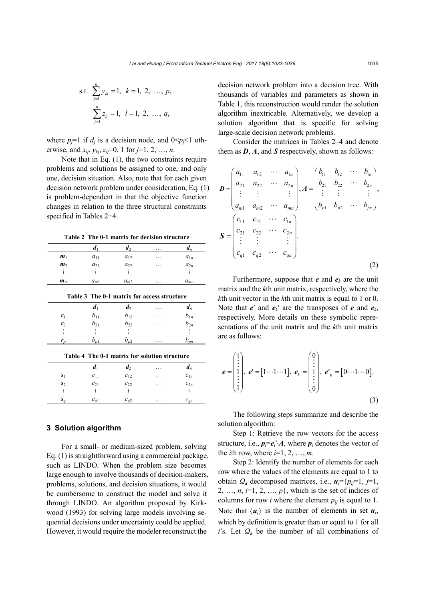s.t. 
$$
\sum_{j=1}^{n} y_{kj} = 1, k = 1, 2, ..., p,
$$
  
 $\sum_{j=1}^{n} z_{ij} = 1, l = 1, 2, ..., q,$ 

where  $p_j=1$  if  $d_j$  is a decision node, and  $0 \le p_j \le 1$  otherwise, and  $x_{ij}$ ,  $y_{kj}$ ,  $z_{lj}$ =0, 1 for *j*=1, 2, ..., *n*.

Note that in Eq. (1), the two constraints require problems and solutions be assigned to one, and only one, decision situation. Also, note that for each given decision network problem under consideration, Eq. (1) is problem-dependent in that the objective function changes in relation to the three structural constraints specified in Tables 2−4.

**Table 2 The 0-1 matrix for decision structure**

|                | a        | $\mathbf{d}_2$ | $\cdots$ | $\boldsymbol{u}_n$ |
|----------------|----------|----------------|----------|--------------------|
| m <sub>1</sub> | $a_{11}$ | $a_{12}$       | $\cdots$ | $a_{1n}$           |
| m <sub>2</sub> | $a_{21}$ | $a_{22}$       | $\cdots$ | $a_{2n}$           |
|                |          |                |          | ፧                  |
| $m_m$          | $a_{m1}$ | $a_{m2}$       | $\cdots$ | $a_{mn}$           |

**Table 3 The 0-1 matrix for access structure**

|                | а                    | $\mathbf{u}_2$ | $\cdot\cdot\cdot$ | $\boldsymbol{u}_n$ |
|----------------|----------------------|----------------|-------------------|--------------------|
| r <sub>1</sub> | $b_{11}$             | $b_{12}$       | $\cdots$          | $b_{1n}$           |
| r <sub>2</sub> | $b_{21}$             | $b_{22}$       | $\cdot\cdot\cdot$ | $b_{2n}$           |
|                |                      |                |                   |                    |
|                | $\boldsymbol{\nu_n}$ | $v_{p2}$       | .                 | $\omega_{pn}$      |

|  |  | Table 4 The 0-1 matrix for solution structure |
|--|--|-----------------------------------------------|
|  |  |                                               |

|                | а        | $\mathfrak{a}_2$ | . | $\boldsymbol{u}_n$ |
|----------------|----------|------------------|---|--------------------|
| $S_1$          | $c_{11}$ | $c_{12}$         | . | $c_{1n}$           |
| s <sub>2</sub> | $c_{21}$ | $c_{22}$         | . | $c_{2n}$           |
|                |          |                  |   |                    |
| S,             | $c_{a1}$ | $c_{a2}$         | . | $c_{qn}$           |

## **3 Solution algorithm**

For a small- or medium-sized problem, solving Eq. (1) is straightforward using a commercial package, such as LINDO. When the problem size becomes large enough to involve thousands of decision-makers, problems, solutions, and decision situations, it would be cumbersome to construct the model and solve it through LINDO. An algorithm proposed by Kirkwood (1993) for solving large models involving sequential decisions under uncertainty could be applied. However, it would require the modeler reconstruct the

decision network problem into a decision tree. With thousands of variables and parameters as shown in Table 1, this reconstruction would render the solution algorithm inextricable. Alternatively, we develop a solution algorithm that is specific for solving large-scale decision network problems.

Consider the matrices in Tables 2–4 and denote them as *D*, *A*, and *S* respectively, shown as follows:

$$
\mathbf{D} = \begin{pmatrix} a_{11} & a_{12} & \cdots & a_{1n} \\ a_{21} & a_{22} & \cdots & a_{2n} \\ \vdots & \vdots & & \vdots \\ a_{m1} & a_{m2} & \cdots & a_{mn} \end{pmatrix}, \mathbf{A} = \begin{pmatrix} b_{11} & b_{12} & \cdots & b_{1n} \\ b_{21} & b_{22} & \cdots & b_{2n} \\ \vdots & \vdots & & \vdots \\ b_{p1} & b_{p2} & \cdots & b_{pn} \end{pmatrix},
$$

$$
\mathbf{S} = \begin{pmatrix} c_{11} & c_{12} & \cdots & c_{1n} \\ c_{21} & c_{22} & \cdots & c_{2n} \\ \vdots & \vdots & & \vdots \\ c_{q1} & c_{q2} & \cdots & c_{qn} \end{pmatrix}.
$$
(2)

Furthermore, suppose that  $e$  and  $e_k$  are the unit matrix and the *k*th unit matrix, respectively, where the *k*th unit vector in the *k*th unit matrix is equal to 1 or 0. Note that  $e'$  and  $e_k'$  are the transposes of  $e$  and  $e_k$ , respectively. More details on these symbolic representations of the unit matrix and the *k*th unit matrix are as follows:

$$
\boldsymbol{e} = \begin{pmatrix} 1 \\ \vdots \\ 1 \\ \vdots \\ 1 \end{pmatrix}, \ \boldsymbol{e}' = \begin{bmatrix} 1 & \cdots & 1 \end{bmatrix}, \ \boldsymbol{e}_k = \begin{bmatrix} 0 \\ \vdots \\ 1 \\ \vdots \\ 0 \end{bmatrix}, \ \boldsymbol{e}'_k = \begin{bmatrix} 0 & \cdots & 1 & \cdots & 0 \end{bmatrix}.
$$

The following steps summarize and describe the solution algorithm:

Step 1: Retrieve the row vectors for the access structure, i.e.,  $p_i = e_i' \cdot A$ , where  $p_i$  denotes the vector of the *i*th row, where  $i=1, 2, \ldots, m$ .

Step 2: Identify the number of elements for each row where the values of the elements are equal to 1 to obtain  $\Omega_a$  decomposed matrices, i.e.,  $\mathbf{u}_i = \{p_i = 1, j = 1, j$ 2, ...,  $n, i=1, 2, ..., p$ , which is the set of indices of columns for row *i* where the element  $p_{ij}$  is equal to 1. Note that  $\langle u_i \rangle$  is the number of elements in set  $u_i$ , which by definition is greater than or equal to 1 for all *i*'s. Let *Ω*<sup>a</sup> be the number of all combinations of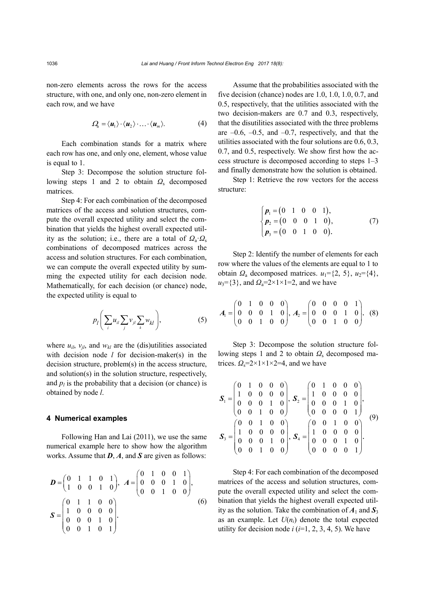non-zero elements across the rows for the access structure, with one, and only one, non-zero element in each row, and we have

$$
\Omega_{\scriptscriptstyle{\mathsf{a}}} = \langle \mathbf{u}_1 \rangle \cdot \langle \mathbf{u}_2 \rangle \cdot \ldots \cdot \langle \mathbf{u}_m \rangle. \tag{4}
$$

Each combination stands for a matrix where each row has one, and only one, element, whose value is equal to 1.

Step 3: Decompose the solution structure following steps 1 and 2 to obtain *Ω*<sup>s</sup> decomposed matrices.

Step 4: For each combination of the decomposed matrices of the access and solution structures, compute the overall expected utility and select the combination that yields the highest overall expected utility as the solution; i.e., there are a total of  $Q_a \tcdot Q_s$ combinations of decomposed matrices across the access and solution structures. For each combination, we can compute the overall expected utility by summing the expected utility for each decision node. Mathematically, for each decision (or chance) node, the expected utility is equal to

$$
p_l\bigg(\sum_i u_{il}\sum_j v_{jl}\sum_k w_{kl}\bigg),\qquad \qquad (5)
$$

where  $u_{il}$ ,  $v_{jl}$ , and  $w_{kl}$  are the (dis)utilities associated with decision node *l* for decision-maker(s) in the decision structure, problem(s) in the access structure, and solution(s) in the solution structure, respectively, and  $p_l$  is the probability that a decision (or chance) is obtained by node *l*.

#### **4 Numerical examples**

Following Han and Lai (2011), we use the same numerical example here to show how the algorithm works. Assume that *D*, *A*, and *S* are given as follows:

$$
\mathbf{D} = \begin{pmatrix} 0 & 1 & 1 & 0 & 1 \\ 1 & 0 & 0 & 1 & 0 \end{pmatrix}, \ \mathbf{A} = \begin{pmatrix} 0 & 1 & 0 & 0 & 1 \\ 0 & 0 & 0 & 1 & 0 \\ 0 & 0 & 1 & 0 & 0 \end{pmatrix},
$$

$$
\mathbf{S} = \begin{pmatrix} 0 & 1 & 1 & 0 & 0 \\ 1 & 0 & 0 & 0 & 0 \\ 0 & 0 & 0 & 1 & 0 \\ 0 & 0 & 1 & 0 & 1 \end{pmatrix}.
$$
 (6)

Assume that the probabilities associated with the five decision (chance) nodes are 1.0, 1.0, 1.0, 0.7, and 0.5, respectively, that the utilities associated with the two decision-makers are 0.7 and 0.3, respectively, that the disutilities associated with the three problems are  $-0.6$ ,  $-0.5$ , and  $-0.7$ , respectively, and that the utilities associated with the four solutions are 0.6, 0.3, 0.7, and 0.5, respectively. We show first how the access structure is decomposed according to steps 1–3 and finally demonstrate how the solution is obtained.

Step 1: Retrieve the row vectors for the access structure:

$$
\begin{cases}\np_1 = (0 \quad 1 \quad 0 \quad 0 \quad 1), \\
p_2 = (0 \quad 0 \quad 0 \quad 1 \quad 0), \\
p_3 = (0 \quad 0 \quad 1 \quad 0 \quad 0).\n\end{cases} (7)
$$

Step 2: Identify the number of elements for each row where the values of the elements are equal to 1 to obtain  $\Omega_a$  decomposed matrices.  $u_1 = \{2, 5\}$ ,  $u_2 = \{4\}$ , *u*<sub>3</sub>={3}, and *Ω*<sub>a</sub>=2×1×1=2, and we have

$$
A_1 = \begin{pmatrix} 0 & 1 & 0 & 0 & 0 \\ 0 & 0 & 0 & 1 & 0 \\ 0 & 0 & 1 & 0 & 0 \end{pmatrix}, A_2 = \begin{pmatrix} 0 & 0 & 0 & 0 & 1 \\ 0 & 0 & 0 & 1 & 0 \\ 0 & 0 & 1 & 0 & 0 \end{pmatrix}. (8)
$$

Step 3: Decompose the solution structure following steps 1 and 2 to obtain *Ω*<sup>s</sup> decomposed matrices.  $Q_s = 2 \times 1 \times 1 \times 2 = 4$ , and we have

$$
\mathbf{S}_{1} = \begin{pmatrix} 0 & 1 & 0 & 0 & 0 \\ 1 & 0 & 0 & 0 & 0 \\ 0 & 0 & 0 & 1 & 0 \\ 0 & 0 & 1 & 0 & 0 \end{pmatrix}, \ \mathbf{S}_{2} = \begin{pmatrix} 0 & 1 & 0 & 0 & 0 \\ 1 & 0 & 0 & 0 & 0 \\ 0 & 0 & 0 & 1 & 0 \\ 0 & 0 & 0 & 0 & 1 \end{pmatrix},
$$

$$
\mathbf{S}_{3} = \begin{pmatrix} 0 & 0 & 1 & 0 & 0 \\ 1 & 0 & 0 & 0 & 0 \\ 0 & 0 & 0 & 1 & 0 \\ 0 & 0 & 0 & 1 & 0 \end{pmatrix}, \ \mathbf{S}_{4} = \begin{pmatrix} 0 & 0 & 1 & 0 & 0 \\ 1 & 0 & 0 & 0 & 0 \\ 0 & 0 & 0 & 1 & 0 \\ 0 & 0 & 0 & 0 & 1 \end{pmatrix}.
$$

Step 4: For each combination of the decomposed matrices of the access and solution structures, compute the overall expected utility and select the combination that yields the highest overall expected utility as the solution. Take the combination of  $A_1$  and  $S_3$ as an example. Let  $U(n_i)$  denote the total expected utility for decision node  $i$  ( $i=1, 2, 3, 4, 5$ ). We have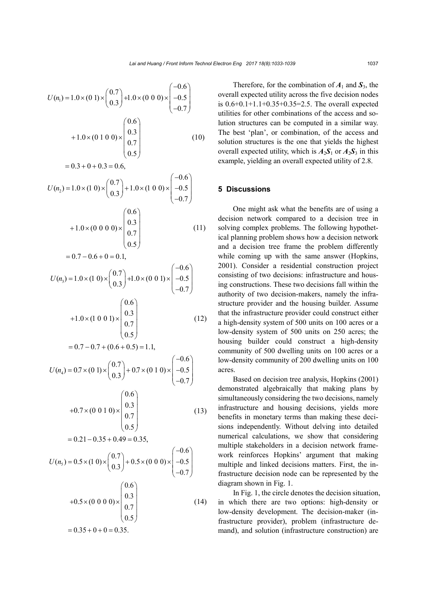$$
U(n_1) = 1.0 \times (0 \text{ 1}) \times \begin{pmatrix} 0.7 \\ 0.3 \end{pmatrix} + 1.0 \times (0 \text{ 0 0}) \times \begin{pmatrix} -0.6 \\ -0.5 \\ -0.7 \end{pmatrix}
$$
  
+1.0 × (0 1 0 0) ×  $\begin{pmatrix} 0.6 \\ 0.3 \\ 0.5 \end{pmatrix}$  (10)  
= 0.3 + 0 + 0.3 = 0.6,  

$$
U(n_2) = 1.0 \times (1 \text{ 0}) \times \begin{pmatrix} 0.7 \\ 0.3 \end{pmatrix} + 1.0 \times (1 \text{ 0 0}) \times \begin{pmatrix} -0.6 \\ -0.5 \end{pmatrix}
$$
  
+1.0 × (0 0 0 0) ×  $\begin{pmatrix} 0.6 \\ 0.3 \\ 0.5 \end{pmatrix}$  (11)  
= 0.7 - 0.6 + 0 = 0.1,  

$$
U(n_3) = 1.0 \times (1 \text{ 0}) \times \begin{pmatrix} 0.7 \\ 0.3 \end{pmatrix} + 1.0 \times (0 \text{ 0 1}) \times \begin{pmatrix} -0.6 \\ -0.7 \end{pmatrix}
$$
  
+1.0 × (1 0 0 1) ×  $\begin{pmatrix} 0.6 \\ 0.3 \\ 0.5 \end{pmatrix}$   
= 0.7 - 0.7 + (0.6 + 0.5) = 1.1,  

$$
U(n_4) = 0.7 \times (0 \text{ 1}) \times \begin{pmatrix} 0.7 \\ 0.3 \end{pmatrix} + 0.7 \times (0 \text{ 1 0}) \times \begin{pmatrix} -0.6 \\ -0.5 \end{pmatrix}
$$
  
+0.7 × (0 0 1 0) ×  $\begin{pmatrix} 0.6 \\ 0.3 \\ 0.5 \end{pmatrix}$   
= 0.21 - 0.35 + 0.49 = 0.35,  

$$
U(n_5) = 0.5 \times (1 \text{ 0}) \times \begin{pmatrix} 0.7 \\ 0.3 \end{pmatrix} + 0.5 \times (0 \text{ 0 0}) \times \begin{pmatrix} -0.6 \\ -0.5 \end{pmatrix}
$$
  
= 0.21 - 0.35 +

$$
+0.5 \times (0\ 0\ 0\ 0) \times \begin{pmatrix} 0.6 \\ 0.3 \\ 0.7 \\ 0.5 \end{pmatrix}
$$
 (14)  
= 0.35 + 0 + 0 = 0.35.

 $\vert_{-0.7}\vert$ 

Therefore, for the combination of  $A_1$  and  $S_3$ , the overall expected utility across the five decision nodes is 0.6+0.1+1.1+0.35+0.35=2.5. The overall expected utilities for other combinations of the access and solution structures can be computed in a similar way. The best 'plan', or combination, of the access and solution structures is the one that yields the highest overall expected utility, which is  $A_2S_1$  or  $A_2S_3$  in this example, yielding an overall expected utility of 2.8.

### **5 Discussions**

One might ask what the benefits are of using a decision network compared to a decision tree in solving complex problems. The following hypothetical planning problem shows how a decision network and a decision tree frame the problem differently while coming up with the same answer (Hopkins, 2001). Consider a residential construction project consisting of two decisions: infrastructure and housing constructions. These two decisions fall within the authority of two decision-makers, namely the infrastructure provider and the housing builder. Assume that the infrastructure provider could construct either a high-density system of 500 units on 100 acres or a low-density system of 500 units on 250 acres; the housing builder could construct a high-density community of 500 dwelling units on 100 acres or a low-density community of 200 dwelling units on 100 acres.

Based on decision tree analysis, Hopkins (2001) demonstrated algebraically that making plans by simultaneously considering the two decisions, namely infrastructure and housing decisions, yields more benefits in monetary terms than making these decisions independently. Without delving into detailed numerical calculations, we show that considering multiple stakeholders in a decision network framework reinforces Hopkins' argument that making multiple and linked decisions matters. First, the infrastructure decision node can be represented by the diagram shown in Fig. 1.

In Fig. 1, the circle denotes the decision situation, in which there are two options: high-density or low-density development. The decision-maker (infrastructure provider), problem (infrastructure demand), and solution (infrastructure construction) are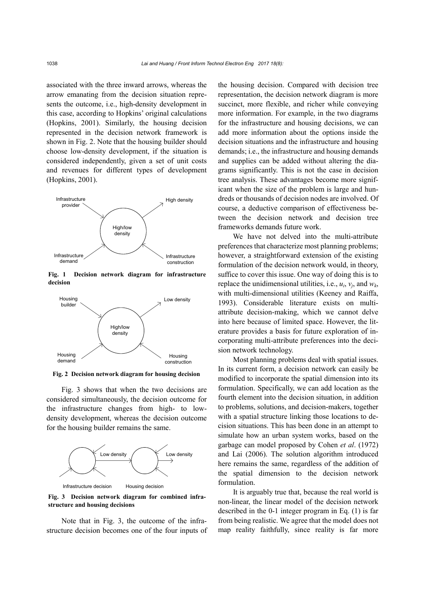associated with the three inward arrows, whereas the arrow emanating from the decision situation represents the outcome, i.e., high-density development in this case, according to Hopkins' original calculations (Hopkins, 2001). Similarly, the housing decision represented in the decision network framework is shown in Fig. 2. Note that the housing builder should choose low-density development, if the situation is considered independently, given a set of unit costs and revenues for different types of development (Hopkins, 2001).



**Fig. 1 Decision network diagram for infrastructure decision**



**Fig. 2 Decision network diagram for housing decision**

Fig. 3 shows that when the two decisions are considered simultaneously, the decision outcome for the infrastructure changes from high- to lowdensity development, whereas the decision outcome for the housing builder remains the same.



**Fig. 3 Decision network diagram for combined infrastructure and housing decisions**

Note that in Fig. 3, the outcome of the infrastructure decision becomes one of the four inputs of the housing decision. Compared with decision tree representation, the decision network diagram is more succinct, more flexible, and richer while conveying more information. For example, in the two diagrams for the infrastructure and housing decisions, we can add more information about the options inside the decision situations and the infrastructure and housing demands; i.e., the infrastructure and housing demands and supplies can be added without altering the diagrams significantly. This is not the case in decision tree analysis. These advantages become more significant when the size of the problem is large and hundreds or thousands of decision nodes are involved. Of course, a deductive comparison of effectiveness between the decision network and decision tree frameworks demands future work.

We have not delved into the multi-attribute preferences that characterize most planning problems; however, a straightforward extension of the existing formulation of the decision network would, in theory, suffice to cover this issue. One way of doing this is to replace the unidimensional utilities, i.e.,  $u_i$ ,  $v_i$ , and  $w_k$ , with multi-dimensional utilities (Keeney and Raiffa, 1993). Considerable literature exists on multiattribute decision-making, which we cannot delve into here because of limited space. However, the literature provides a basis for future exploration of incorporating multi-attribute preferences into the decision network technology.

Most planning problems deal with spatial issues. In its current form, a decision network can easily be modified to incorporate the spatial dimension into its formulation. Specifically, we can add location as the fourth element into the decision situation, in addition to problems, solutions, and decision-makers, together with a spatial structure linking those locations to decision situations. This has been done in an attempt to simulate how an urban system works, based on the garbage can model proposed by Cohen *et al*. (1972) and Lai (2006). The solution algorithm introduced here remains the same, regardless of the addition of the spatial dimension to the decision network formulation.

It is arguably true that, because the real world is non-linear, the linear model of the decision network described in the 0-1 integer program in Eq. (1) is far from being realistic. We agree that the model does not map reality faithfully, since reality is far more